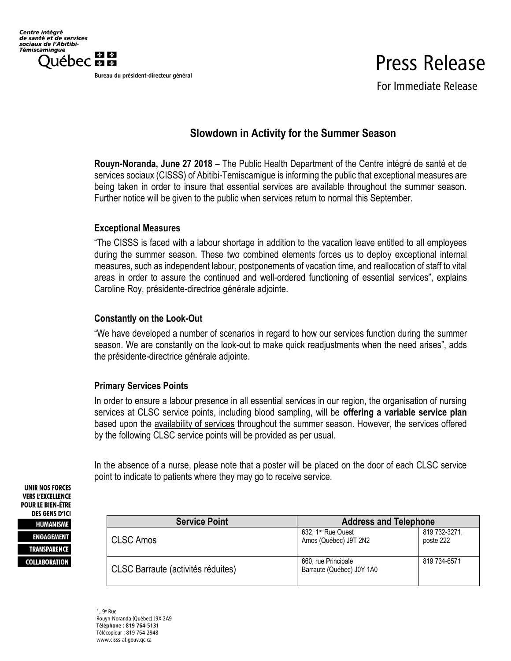Bureau du président-directeur général

# Press Release

For Immediate Release

## **Slowdown in Activity for the Summer Season**

**Rouyn-Noranda, June 27 2018** – The Public Health Department of the Centre intégré de santé et de services sociaux (CISSS) of Abitibi-Temiscamigue is informing the public that exceptional measures are being taken in order to insure that essential services are available throughout the summer season. Further notice will be given to the public when services return to normal this September.

#### **Exceptional Measures**

"The CISSS is faced with a labour shortage in addition to the vacation leave entitled to all employees during the summer season. These two combined elements forces us to deploy exceptional internal measures, such as independent labour, postponements of vacation time, and reallocation of staff to vital areas in order to assure the continued and well-ordered functioning of essential services", explains Caroline Roy, présidente-directrice générale adjointe.

### **Constantly on the Look-Out**

"We have developed a number of scenarios in regard to how our services function during the summer season. We are constantly on the look-out to make quick readjustments when the need arises", adds the présidente-directrice générale adjointe.

#### **Primary Services Points**

In order to ensure a labour presence in all essential services in our region, the organisation of nursing services at CLSC service points, including blood sampling, will be **offering a variable service plan** based upon the availability of services throughout the summer season. However, the services offered by the following CLSC service points will be provided as per usual.

In the absence of a nurse, please note that a poster will be placed on the door of each CLSC service point to indicate to patients where they may go to receive service.

| <b>Service Point</b>               | <b>Address and Telephone</b>                            |                            |
|------------------------------------|---------------------------------------------------------|----------------------------|
| CLSC Amos                          | 632, 1 <sup>re</sup> Rue Ouest<br>Amos (Québec) J9T 2N2 | 819 732-3271,<br>poste 222 |
| CLSC Barraute (activités réduites) | 660, rue Principale<br>Barraute (Québec) J0Y 1A0        | 819 734-6571               |

1, 9<sup>e</sup> Rue Rouyn-Noranda (Québec) J9X 2A9 Téléphone : 819 764-5131 Télécopieur : 819 764-2948 www.cisss-at.gouv.qc.ca

**UNIR NOS FORCES VERS L'EXCELLENCE POUR LE BIEN-ÊTRE DES GENS D'ICI HUMANISME ENGAGEMENT TRANSPARENCE COLLABORATION**